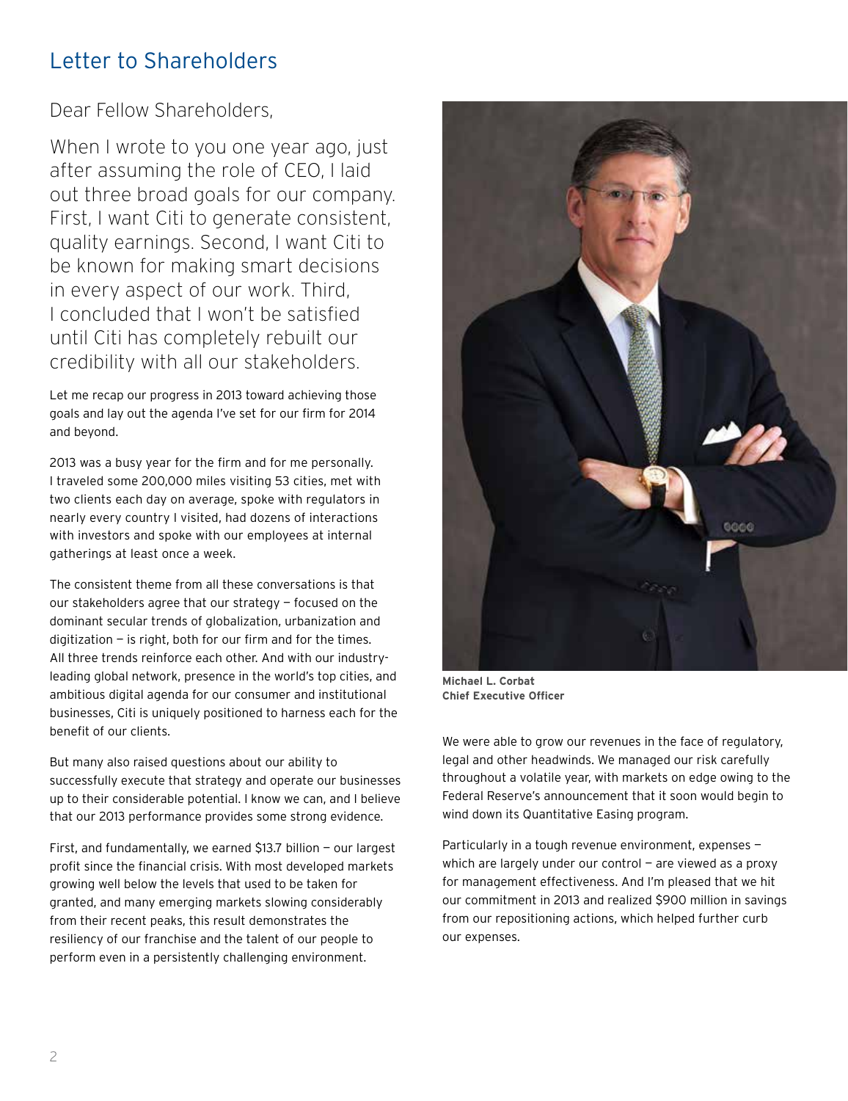## Letter to Shareholders

Dear Fellow Shareholders,

When I wrote to you one year ago, just after assuming the role of CEO, I laid out three broad goals for our company. First, I want Citi to generate consistent, quality earnings. Second, I want Citi to be known for making smart decisions in every aspect of our work. Third, I concluded that I won't be satisfied until Citi has completely rebuilt our credibility with all our stakeholders.

Let me recap our progress in 2013 toward achieving those goals and lay out the agenda I've set for our firm for 2014 and beyond.

2013 was a busy year for the firm and for me personally. I traveled some 200,000 miles visiting 53 cities, met with two clients each day on average, spoke with regulators in nearly every country I visited, had dozens of interactions with investors and spoke with our employees at internal gatherings at least once a week.

The consistent theme from all these conversations is that our stakeholders agree that our strategy — focused on the dominant secular trends of globalization, urbanization and digitization  $-$  is right, both for our firm and for the times. All three trends reinforce each other. And with our industryleading global network, presence in the world's top cities, and ambitious digital agenda for our consumer and institutional businesses, Citi is uniquely positioned to harness each for the benefit of our clients.

But many also raised questions about our ability to successfully execute that strategy and operate our businesses up to their considerable potential. I know we can, and I believe that our 2013 performance provides some strong evidence.

First, and fundamentally, we earned \$13.7 billion — our largest profit since the financial crisis. With most developed markets growing well below the levels that used to be taken for granted, and many emerging markets slowing considerably from their recent peaks, this result demonstrates the resiliency of our franchise and the talent of our people to perform even in a persistently challenging environment.



**Michael L. Corbat Chief Executive Officer**

We were able to grow our revenues in the face of regulatory, legal and other headwinds. We managed our risk carefully throughout a volatile year, with markets on edge owing to the Federal Reserve's announcement that it soon would begin to wind down its Quantitative Easing program.

Particularly in a tough revenue environment, expenses which are largely under our control  $-$  are viewed as a proxy for management effectiveness. And I'm pleased that we hit our commitment in 2013 and realized \$900 million in savings from our repositioning actions, which helped further curb our expenses.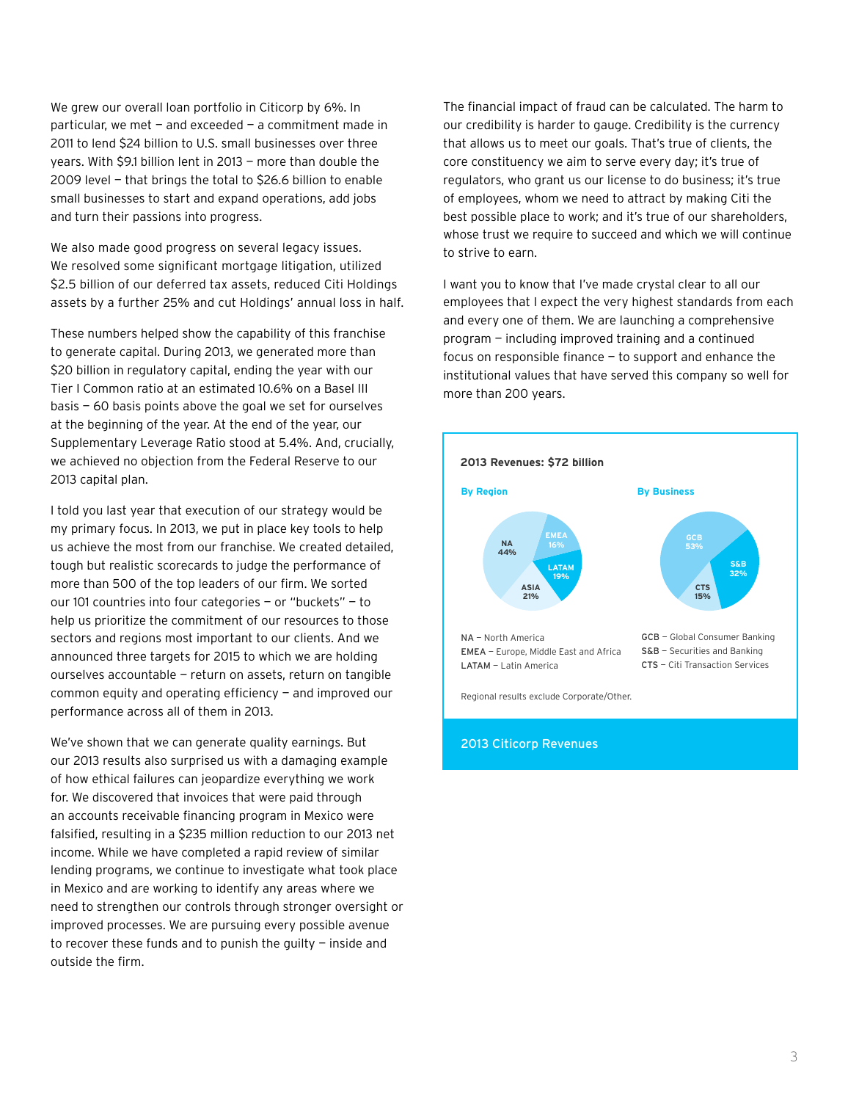We grew our overall loan portfolio in Citicorp by 6%. In particular, we met  $-$  and exceeded  $-$  a commitment made in 2011 to lend \$24 billion to U.S. small businesses over three years. With \$9.1 billion lent in 2013 — more than double the 2009 level — that brings the total to \$26.6 billion to enable small businesses to start and expand operations, add jobs and turn their passions into progress.

We also made good progress on several legacy issues. We resolved some significant mortgage litigation, utilized \$2.5 billion of our deferred tax assets, reduced Citi Holdings assets by a further 25% and cut Holdings' annual loss in half.

These numbers helped show the capability of this franchise to generate capital. During 2013, we generated more than \$20 billion in regulatory capital, ending the year with our Tier I Common ratio at an estimated 10.6% on a Basel III basis — 60 basis points above the goal we set for ourselves at the beginning of the year. At the end of the year, our Supplementary Leverage Ratio stood at 5.4%. And, crucially, we achieved no objection from the Federal Reserve to our 2013 capital plan.

I told you last year that execution of our strategy would be my primary focus. In 2013, we put in place key tools to help us achieve the most from our franchise. We created detailed, tough but realistic scorecards to judge the performance of more than 500 of the top leaders of our firm. We sorted our 101 countries into four categories — or "buckets" — to help us prioritize the commitment of our resources to those sectors and regions most important to our clients. And we announced three targets for 2015 to which we are holding ourselves accountable — return on assets, return on tangible common equity and operating efficiency — and improved our performance across all of them in 2013.

We've shown that we can generate quality earnings. But our 2013 results also surprised us with a damaging example of how ethical failures can jeopardize everything we work for. We discovered that invoices that were paid through an accounts receivable financing program in Mexico were falsified, resulting in a \$235 million reduction to our 2013 net income. While we have completed a rapid review of similar lending programs, we continue to investigate what took place in Mexico and are working to identify any areas where we need to strengthen our controls through stronger oversight or improved processes. We are pursuing every possible avenue to recover these funds and to punish the guilty — inside and outside the firm.

The financial impact of fraud can be calculated. The harm to our credibility is harder to gauge. Credibility is the currency that allows us to meet our goals. That's true of clients, the core constituency we aim to serve every day; it's true of regulators, who grant us our license to do business; it's true of employees, whom we need to attract by making Citi the best possible place to work; and it's true of our shareholders, whose trust we require to succeed and which we will continue to strive to earn.

I want you to know that I've made crystal clear to all our employees that I expect the very highest standards from each and every one of them. We are launching a comprehensive program — including improved training and a continued focus on responsible finance — to support and enhance the institutional values that have served this company so well for more than 200 years.



#### 2013 Citicorp Revenues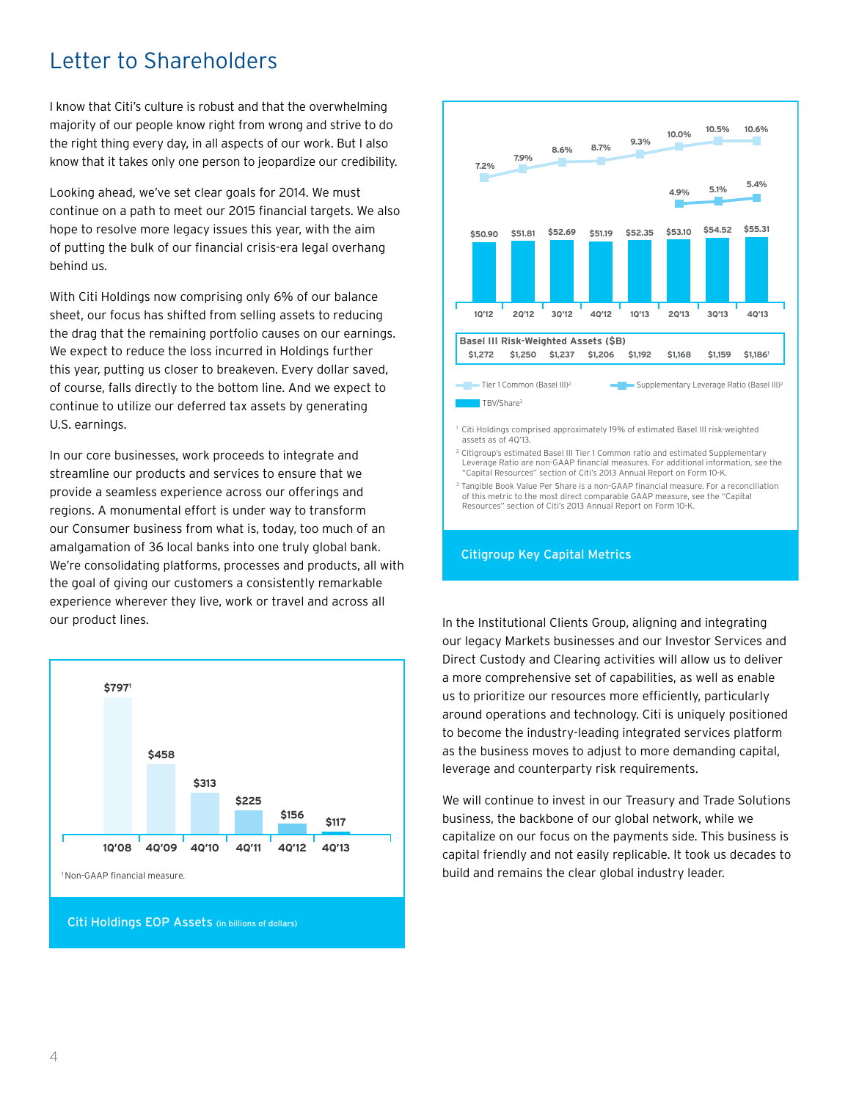## Letter to Shareholders

I know that Citi's culture is robust and that the overwhelming majority of our people know right from wrong and strive to do the right thing every day, in all aspects of our work. But I also know that it takes only one person to jeopardize our credibility.

Looking ahead, we've set clear goals for 2014. We must continue on a path to meet our 2015 financial targets. We also hope to resolve more legacy issues this year, with the aim of putting the bulk of our financial crisis-era legal overhang behind us.

With Citi Holdings now comprising only 6% of our balance sheet, our focus has shifted from selling assets to reducing the drag that the remaining portfolio causes on our earnings. We expect to reduce the loss incurred in Holdings further this year, putting us closer to breakeven. Every dollar saved, of course, falls directly to the bottom line. And we expect to continue to utilize our deferred tax assets by generating U.S. earnings.

In our core businesses, work proceeds to integrate and streamline our products and services to ensure that we provide a seamless experience across our offerings and regions. A monumental effort is under way to transform our Consumer business from what is, today, too much of an amalgamation of 36 local banks into one truly global bank. We're consolidating platforms, processes and products, all with the goal of giving our customers a consistently remarkable experience wherever they live, work or travel and across all our product lines.





3 Tangible Book Value Per Share is a non-GAAP financial measure. For a reconciliation of this metric to the most direct comparable GAAP measure, see the "Capital Resources" section of Citi's 2013 Annual Report on Form 10-K.

#### Citigroup Key Capital Metrics

In the Institutional Clients Group, aligning and integrating our legacy Markets businesses and our Investor Services and Direct Custody and Clearing activities will allow us to deliver a more comprehensive set of capabilities, as well as enable us to prioritize our resources more efficiently, particularly around operations and technology. Citi is uniquely positioned to become the industry-leading integrated services platform as the business moves to adjust to more demanding capital, leverage and counterparty risk requirements.

We will continue to invest in our Treasury and Trade Solutions business, the backbone of our global network, while we capitalize on our focus on the payments side. This business is capital friendly and not easily replicable. It took us decades to build and remains the clear global industry leader.